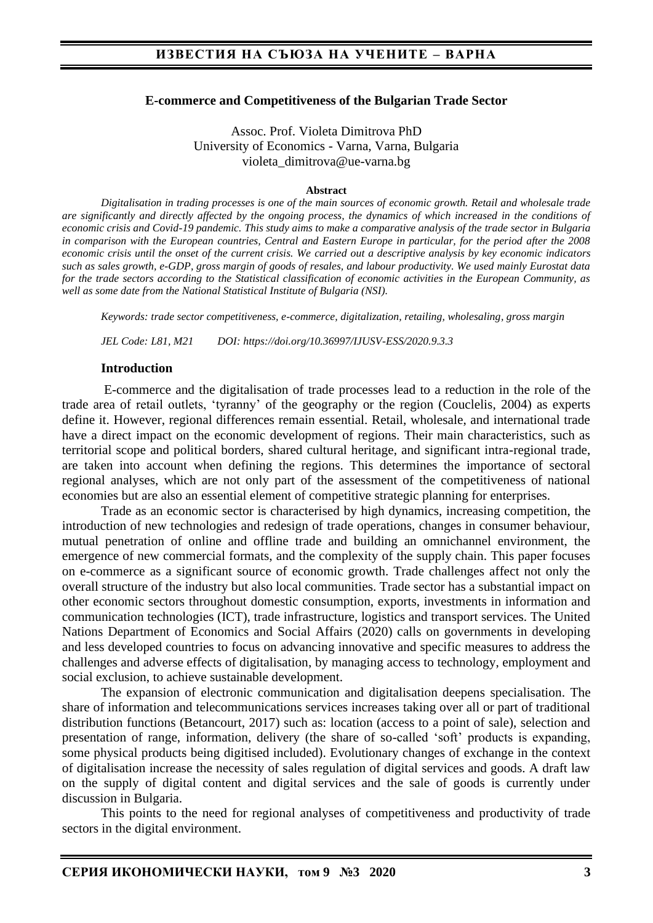#### **E-commerce and Competitiveness of the Bulgarian Trade Sector**

Assoc. Prof. Violeta Dimitrova PhD University of Economics - Varna, Varna, Bulgaria violeta\_dimitrova@ue-varna.bg

#### **Abstract**

*Digitalisation in trading processes is one of the main sources of economic growth. Retail and wholesale trade are significantly and directly affected by the ongoing process, the dynamics of which increased in the conditions of economic crisis and Covid-19 pandemic. This study aims to make a comparative analysis of the trade sector in Bulgaria in comparison with the European countries, Central and Eastern Europe in particular, for the period after the 2008 economic crisis until the onset of the current crisis. We carried out a descriptive analysis by key economic indicators such as sales growth, e-GDP, gross margin of goods of resales, and labour productivity. We used mainly Eurostat data for the trade sectors according to the Statistical classification of economic activities in the European Community, as well as some date from the National Statistical Institute of Bulgaria (NSI).*

*Keywords: trade sector competitiveness, e-commerce, digitalization, retailing, wholesaling, gross margin*

*JEL Code: L81, M21 DOI: https://doi.org/10.36997/IJUSV-ESS/2020.9.3.3*

#### **Introduction**

E-commerce and the digitalisation of trade processes lead to a reduction in the role of the trade area of retail outlets, 'tyranny' of the geography or the region (Couclelis, 2004) as experts define it. However, regional differences remain essential. Retail, wholesale, and international trade have a direct impact on the economic development of regions. Their main characteristics, such as territorial scope and political borders, shared cultural heritage, and significant intra-regional trade, are taken into account when defining the regions. This determines the importance of sectoral regional analyses, which are not only part of the assessment of the competitiveness of national economies but are also an essential element of competitive strategic planning for enterprises.

Trade as an economic sector is characterised by high dynamics, increasing competition, the introduction of new technologies and redesign of trade operations, changes in consumer behaviour, mutual penetration of online and offline trade and building an omnichannel environment, the emergence of new commercial formats, and the complexity of the supply chain. This paper focuses on e-commerce as a significant source of economic growth. Trade challenges affect not only the overall structure of the industry but also local communities. Trade sector has a substantial impact on other economic sectors throughout domestic consumption, exports, investments in information and communication technologies (ICT), trade infrastructure, logistics and transport services. The United Nations Department of Economics and Social Affairs (2020) calls on governments in developing and less developed countries to focus on advancing innovative and specific measures to address the challenges and adverse effects of digitalisation, by managing access to technology, employment and social exclusion, to achieve sustainable development.

The expansion of electronic communication and digitalisation deepens specialisation. The share of information and telecommunications services increases taking over all or part of traditional distribution functions (Betancourt, 2017) such as: location (access to a point of sale), selection and presentation of range, information, delivery (the share of so-called 'soft' products is expanding, some physical products being digitised included). Evolutionary changes of exchange in the context of digitalisation increase the necessity of sales regulation of digital services and goods. A draft law on the supply of digital content and digital services and the sale of goods is currently under discussion in Bulgaria.

This points to the need for regional analyses of competitiveness and productivity of trade sectors in the digital environment.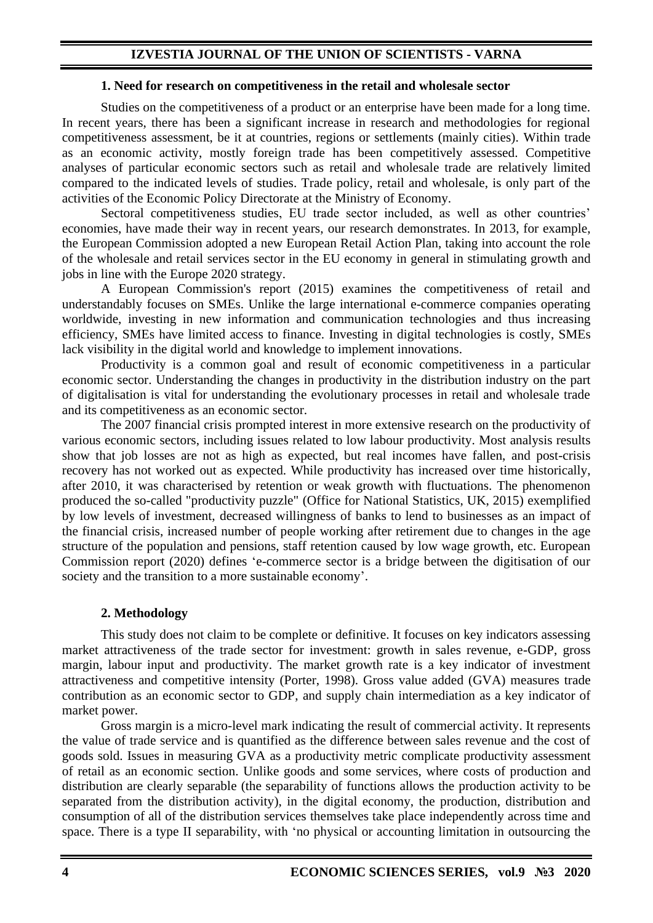#### **1. Need for research on competitiveness in the retail and wholesale sector**

Studies on the competitiveness of a product or an enterprise have been made for a long time. In recent years, there has been a significant increase in research and methodologies for regional competitiveness assessment, be it at countries, regions or settlements (mainly cities). Within trade as an economic activity, mostly foreign trade has been competitively assessed. Competitive analyses of particular economic sectors such as retail and wholesale trade are relatively limited compared to the indicated levels of studies. Trade policy, retail and wholesale, is only part of the activities of the Economic Policy Directorate at the Ministry of Economy.

Sectoral competitiveness studies, EU trade sector included, as well as other countries' economies, have made their way in recent years, our research demonstrates. In 2013, for example, the European Commission adopted a new European Retail Action Plan, taking into account the role of the wholesale and retail services sector in the EU economy in general in stimulating growth and jobs in line with the Europe 2020 strategy.

A European Commission's report (2015) examines the competitiveness of retail and understandably focuses on SMEs. Unlike the large international e-commerce companies operating worldwide, investing in new information and communication technologies and thus increasing efficiency, SMEs have limited access to finance. Investing in digital technologies is costly, SMEs lack visibility in the digital world and knowledge to implement innovations.

Productivity is a common goal and result of economic competitiveness in a particular economic sector. Understanding the changes in productivity in the distribution industry on the part of digitalisation is vital for understanding the evolutionary processes in retail and wholesale trade and its competitiveness as an economic sector.

The 2007 financial crisis prompted interest in more extensive research on the productivity of various economic sectors, including issues related to low labour productivity. Most analysis results show that job losses are not as high as expected, but real incomes have fallen, and post-crisis recovery has not worked out as expected. While productivity has increased over time historically, after 2010, it was characterised by retention or weak growth with fluctuations. The phenomenon produced the so-called "productivity puzzle" (Office for National Statistics, UK, 2015) exemplified by low levels of investment, decreased willingness of banks to lend to businesses as an impact of the financial crisis, increased number of people working after retirement due to changes in the age structure of the population and pensions, staff retention caused by low wage growth, etc. European Commission report (2020) defines 'e-commerce sector is a bridge between the digitisation of our society and the transition to a more sustainable economy'.

#### **2. Methodology**

This study does not claim to be complete or definitive. It focuses on key indicators assessing market attractiveness of the trade sector for investment: growth in sales revenue, e-GDP, gross margin, labour input and productivity. The market growth rate is a key indicator of investment attractiveness and competitive intensity (Porter, 1998). Gross value added (GVA) measures trade contribution as an economic sector to GDP, and supply chain intermediation as a key indicator of market power.

Gross margin is a micro-level mark indicating the result of commercial activity. It represents the value of trade service and is quantified as the difference between sales revenue and the cost of goods sold. Issues in measuring GVA as a productivity metric complicate productivity assessment of retail as an economic section. Unlike goods and some services, where costs of production and distribution are clearly separable (the separability of functions allows the production activity to be separated from the distribution activity), in the digital economy, the production, distribution and consumption of all of the distribution services themselves take place independently across time and space. There is a type II separability, with 'no physical or accounting limitation in outsourcing the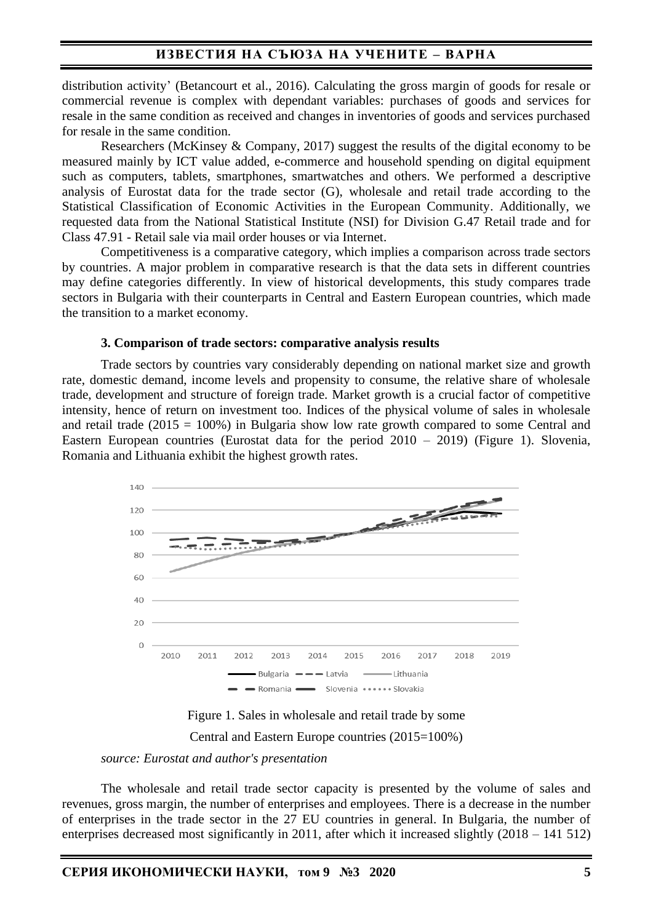### **ИЗВЕСТИЯ НА СЪЮЗА НА УЧЕНИТЕ – ВАРНА**

distribution activity' (Betancourt et al., 2016). Calculating the gross margin of goods for resale or commercial revenue is complex with dependant variables: purchases of goods and services for resale in the same condition as received and changes in inventories of goods and services purchased for resale in the same condition.

Researchers (McKinsey & Company, 2017) suggest the results of the digital economy to be measured mainly by ICT value added, e-commerce and household spending on digital equipment such as computers, tablets, smartphones, smartwatches and others. We performed a descriptive analysis of Eurostat data for the trade sector (G), wholesale and retail trade according to the Statistical Classification of Economic Activities in the European Community. Additionally, we requested data from the National Statistical Institute (NSI) for Division G.47 Retail trade and for Class 47.91 - Retail sale via mail order houses or via Internet.

Competitiveness is a comparative category, which implies a comparison across trade sectors by countries. A major problem in comparative research is that the data sets in different countries may define categories differently. In view of historical developments, this study compares trade sectors in Bulgaria with their counterparts in Central and Eastern European countries, which made the transition to a market economy.

#### **3. Comparison of trade sectors: comparative analysis results**

Trade sectors by countries vary considerably depending on national market size and growth rate, domestic demand, income levels and propensity to consume, the relative share of wholesale trade, development and structure of foreign trade. Market growth is a crucial factor of competitive intensity, hence of return on investment too. Indices of the physical volume of sales in wholesale and retail trade (2015 = 100%) in Bulgaria show low rate growth compared to some Central and Eastern European countries (Eurostat data for the period 2010 – 2019) (Figure 1). Slovenia, Romania and Lithuania exhibit the highest growth rates.



Figure 1. Sales in wholesale and retail trade by some

Central and Eastern Europe countries (2015=100%)

*source: Eurostat and author's presentation*

The wholesale and retail trade sector capacity is presented by the volume of sales and revenues, gross margin, the number of enterprises and employees. There is a decrease in the number of enterprises in the trade sector in the 27 EU countries in general. In Bulgaria, the number of enterprises decreased most significantly in 2011, after which it increased slightly (2018 – 141 512)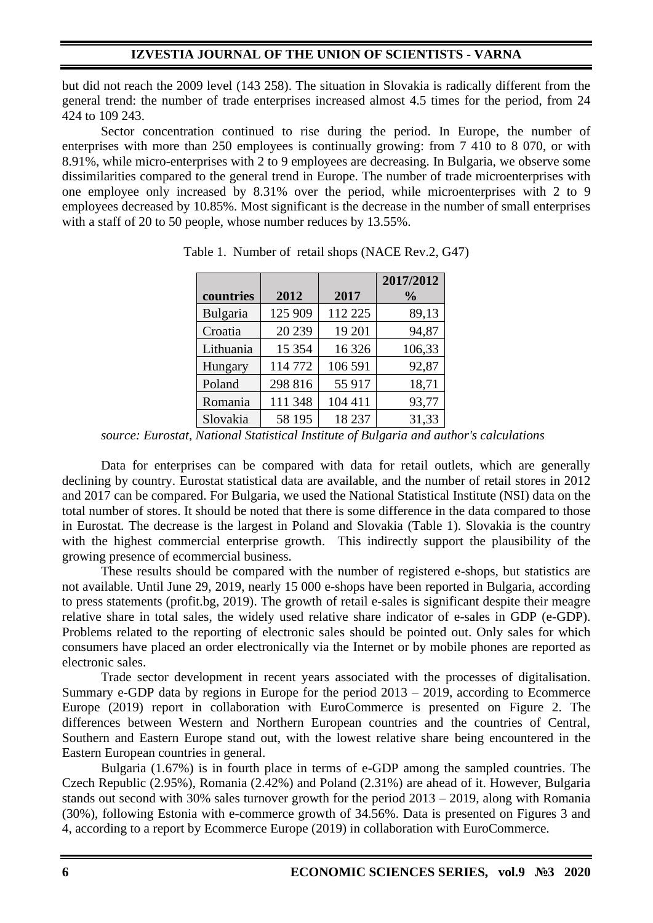but did not reach the 2009 level (143 258). The situation in Slovakia is radically different from the general trend: the number of trade enterprises increased almost 4.5 times for the period, from 24 424 to 109 243.

Sector concentration continued to rise during the period. In Europe, the number of enterprises with more than 250 employees is continually growing: from 7 410 to 8 070, or with 8.91%, while micro-enterprises with 2 to 9 employees are decreasing. In Bulgaria, we observe some dissimilarities compared to the general trend in Europe. The number of trade microenterprises with one employee only increased by 8.31% over the period, while microenterprises with 2 to 9 employees decreased by 10.85%. Most significant is the decrease in the number of small enterprises with a staff of 20 to 50 people, whose number reduces by 13.55%.

|           |         |         | 2017/2012     |
|-----------|---------|---------|---------------|
| countries | 2012    | 2017    | $\frac{0}{0}$ |
| Bulgaria  | 125 909 | 112 225 | 89,13         |
| Croatia   | 20 239  | 19 201  | 94,87         |
| Lithuania | 15 354  | 16 3 26 | 106,33        |
| Hungary   | 114772  | 106 591 | 92,87         |
| Poland    | 298 816 | 55 917  | 18,71         |
| Romania   | 111 348 | 104 411 | 93,77         |
| Slovakia  | 58 195  | 18 237  | 31,33         |

Table 1. Number of retail shops (NACE Rev.2, G47)

Data for enterprises can be compared with data for retail outlets, which are generally declining by country. Eurostat statistical data are available, and the number of retail stores in 2012 and 2017 can be compared. For Bulgaria, we used the National Statistical Institute (NSI) data on the total number of stores. It should be noted that there is some difference in the data compared to those in Eurostat. The decrease is the largest in Poland and Slovakia (Table 1). Slovakia is the country with the highest commercial enterprise growth. This indirectly support the plausibility of the growing presence of ecommercial business.

These results should be compared with the number of registered e-shops, but statistics are not available. Until June 29, 2019, nearly 15 000 e-shops have been reported in Bulgaria, according to press statements (profit.bg, 2019). The growth of retail e-sales is significant despite their meagre relative share in total sales, the widely used relative share indicator of e-sales in GDP (e-GDP). Problems related to the reporting of electronic sales should be pointed out. Only sales for which consumers have placed an order electronically via the Internet or by mobile phones are reported as electronic sales.

Trade sector development in recent years associated with the processes of digitalisation. Summary e-GDP data by regions in Europe for the period 2013 – 2019, according to Ecommerce Europe (2019) report in collaboration with EuroCommerce is presented on Figure 2. The differences between Western and Northern European countries and the countries of Central, Southern and Eastern Europe stand out, with the lowest relative share being encountered in the Eastern European countries in general.

Bulgaria (1.67%) is in fourth place in terms of e-GDP among the sampled countries. The Czech Republic (2.95%), Romania (2.42%) and Poland (2.31%) are ahead of it. However, Bulgaria stands out second with 30% sales turnover growth for the period 2013 – 2019, along with Romania (30%), following Estonia with e-commerce growth of 34.56%. Data is presented on Figures 3 and 4, according to a report by Ecommerce Europe (2019) in collaboration with EuroCommerce.

*source: Eurostat, National Statistical Institute of Bulgaria and author's calculations*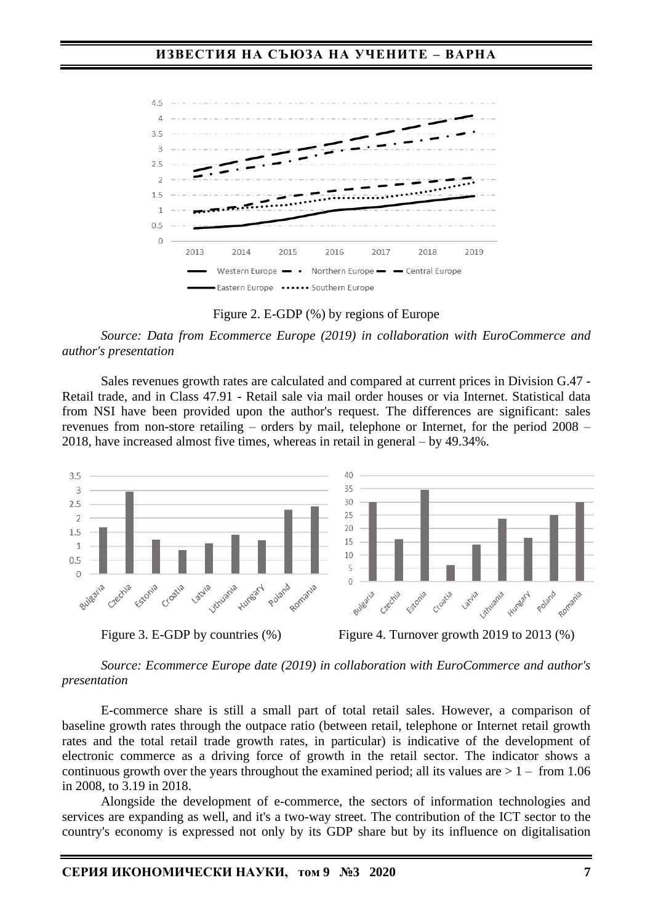

Figure 2. E-GDP (%) by regions of Europe

*Source: Data from Ecommerce Europe (2019) in collaboration with EuroCommerce and author's presentation*

Sales revenues growth rates are calculated and compared at current prices in Division G.47 - Retail trade, and in Class 47.91 - Retail sale via mail order houses or via Internet. Statistical data from NSI have been provided upon the author's request. The differences are significant: sales revenues from non-store retailing – orders by mail, telephone or Internet, for the period 2008 – 2018, have increased almost five times, whereas in retail in general – by 49.34%.



#### *Source: Ecommerce Europe date (2019) in collaboration with EuroCommerce and author's presentation*

E-commerce share is still a small part of total retail sales. However, a comparison of baseline growth rates through the outpace ratio (between retail, telephone or Internet retail growth rates and the total retail trade growth rates, in particular) is indicative of the development of electronic commerce as a driving force of growth in the retail sector. The indicator shows a continuous growth over the years throughout the examined period; all its values are  $> 1 -$  from 1.06 in 2008, to 3.19 in 2018.

Alongside the development of e-commerce, the sectors of information technologies and services are expanding as well, and it's a two-way street. The contribution of the ICT sector to the country's economy is expressed not only by its GDP share but by its influence on digitalisation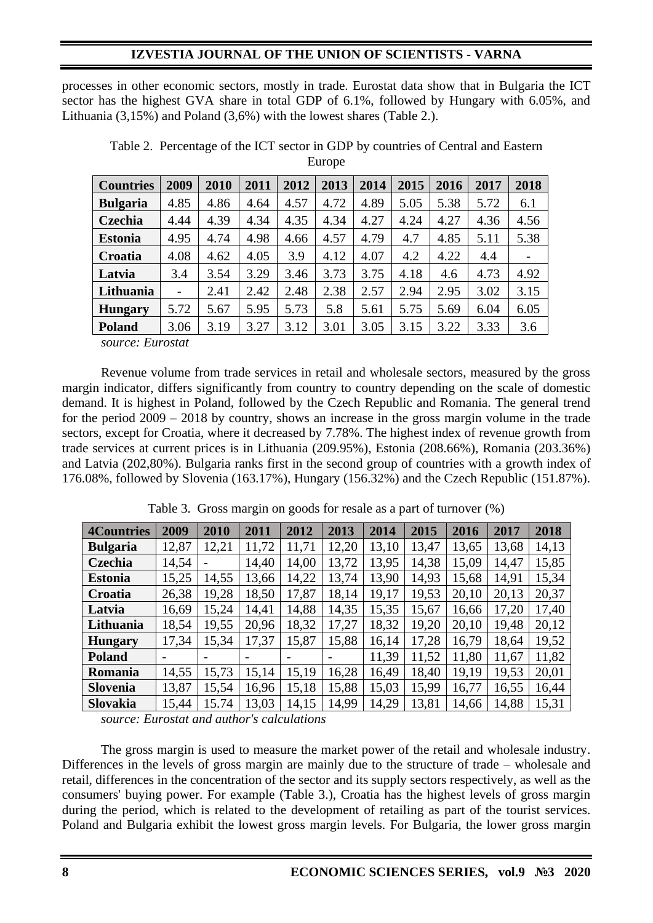processes in other economic sectors, mostly in trade. Eurostat data show that in Bulgaria the ICT sector has the highest GVA share in total GDP of 6.1%, followed by Hungary with 6.05%, and Lithuania (3,15%) and Poland (3,6%) with the lowest shares (Table 2.).

| <b>Countries</b> | 2009 | 2010 | 2011 | 2012 | 2013 | 2014 | 2015 | 2016 | 2017 | 2018 |
|------------------|------|------|------|------|------|------|------|------|------|------|
| <b>Bulgaria</b>  | 4.85 | 4.86 | 4.64 | 4.57 | 4.72 | 4.89 | 5.05 | 5.38 | 5.72 | 6.1  |
| Czechia          | 4.44 | 4.39 | 4.34 | 4.35 | 4.34 | 4.27 | 4.24 | 4.27 | 4.36 | 4.56 |
| <b>Estonia</b>   | 4.95 | 4.74 | 4.98 | 4.66 | 4.57 | 4.79 | 4.7  | 4.85 | 5.11 | 5.38 |
| Croatia          | 4.08 | 4.62 | 4.05 | 3.9  | 4.12 | 4.07 | 4.2  | 4.22 | 4.4  |      |
| Latvia           | 3.4  | 3.54 | 3.29 | 3.46 | 3.73 | 3.75 | 4.18 | 4.6  | 4.73 | 4.92 |
| Lithuania        | -    | 2.41 | 2.42 | 2.48 | 2.38 | 2.57 | 2.94 | 2.95 | 3.02 | 3.15 |
| <b>Hungary</b>   | 5.72 | 5.67 | 5.95 | 5.73 | 5.8  | 5.61 | 5.75 | 5.69 | 6.04 | 6.05 |
| <b>Poland</b>    | 3.06 | 3.19 | 3.27 | 3.12 | 3.01 | 3.05 | 3.15 | 3.22 | 3.33 | 3.6  |

Table 2. Percentage of the ICT sector in GDP by countries of Central and Eastern Europe

*source: Eurostat* 

Revenue volume from trade services in retail and wholesale sectors, measured by the gross margin indicator, differs significantly from country to country depending on the scale of domestic demand. It is highest in Poland, followed by the Czech Republic and Romania. The general trend for the period 2009 – 2018 by country, shows an increase in the gross margin volume in the trade sectors, except for Croatia, where it decreased by 7.78%. The highest index of revenue growth from trade services at current prices is in Lithuania (209.95%), Estonia (208.66%), Romania (203.36%) and Latvia (202,80%). Bulgaria ranks first in the second group of countries with a growth index of 176.08%, followed by Slovenia (163.17%), Hungary (156.32%) and the Czech Republic (151.87%).

| <b>4Countries</b> | 2009  | 2010  | 2011  | 2012  | 2013  | 2014  | 2015  | 2016  | 2017  | 2018  |
|-------------------|-------|-------|-------|-------|-------|-------|-------|-------|-------|-------|
| <b>Bulgaria</b>   | 12,87 | 12,21 | 11,72 | 11,71 | 12,20 | 13,10 | 13,47 | 13,65 | 13,68 | 14,13 |
| Czechia           | 14,54 |       | 14,40 | 14,00 | 13,72 | 13.95 | 14,38 | 15,09 | 14,47 | 15,85 |
| <b>Estonia</b>    | 15,25 | 14,55 | 13,66 | 14,22 | 13,74 | 13.90 | 14,93 | 15,68 | 14,91 | 15,34 |
| Croatia           | 26,38 | 19,28 | 18,50 | 17,87 | 18,14 | 19,17 | 19,53 | 20,10 | 20,13 | 20,37 |
| Latvia            | 16,69 | 15,24 | 14,41 | 14,88 | 14,35 | 15,35 | 15,67 | 16,66 | 17,20 | 17,40 |
| Lithuania         | 18,54 | 19,55 | 20,96 | 18,32 | 17,27 | 18,32 | 19,20 | 20,10 | 19,48 | 20,12 |
| <b>Hungary</b>    | 17,34 | 15,34 | 17,37 | 15,87 | 15,88 | 16,14 | 17,28 | 16,79 | 18,64 | 19,52 |
| <b>Poland</b>     |       |       |       |       |       | 11,39 | 11,52 | 11,80 | 11,67 | 11,82 |
| Romania           | 14,55 | 15,73 | 15,14 | 15,19 | 16,28 | 16,49 | 18,40 | 19,19 | 19,53 | 20,01 |
| <b>Slovenia</b>   | 13,87 | 15,54 | 16,96 | 15,18 | 15,88 | 15,03 | 15,99 | 16,77 | 16,55 | 16,44 |
| <b>Slovakia</b>   | 15,44 | 15.74 | 13,03 | 14,15 | 14.99 | 14,29 | 13,81 | 14,66 | 14,88 | 15,31 |

Table 3. Gross margin on goods for resale as a part of turnover (%)

*source: Eurostat and author's calculations*

The gross margin is used to measure the market power of the retail and wholesale industry. Differences in the levels of gross margin are mainly due to the structure of trade – wholesale and retail, differences in the concentration of the sector and its supply sectors respectively, as well as the consumers' buying power. For example (Table 3.), Croatia has the highest levels of gross margin during the period, which is related to the development of retailing as part of the tourist services. Poland and Bulgaria exhibit the lowest gross margin levels. For Bulgaria, the lower gross margin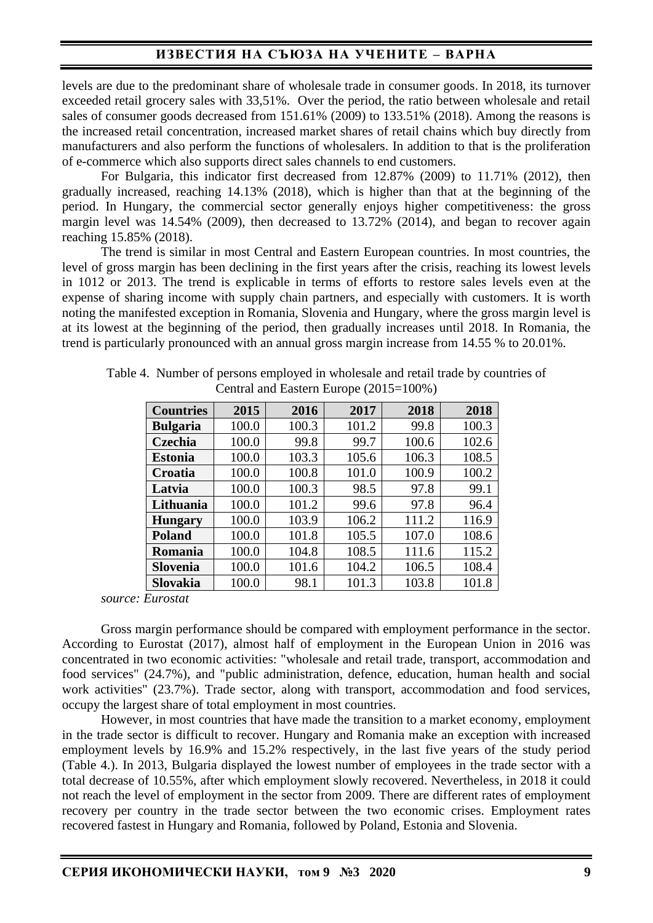## **ИЗВЕСТИЯ НА СЪЮЗА НА УЧЕНИТЕ – ВАРНА**

levels are due to the predominant share of wholesale trade in consumer goods. In 2018, its turnover exceeded retail grocery sales with 33,51%. Over the period, the ratio between wholesale and retail sales of consumer goods decreased from 151.61% (2009) to 133.51% (2018). Among the reasons is the increased retail concentration, increased market shares of retail chains which buy directly from manufacturers and also perform the functions of wholesalers. In addition to that is the proliferation of e-commerce which also supports direct sales channels to end customers.

For Bulgaria, this indicator first decreased from 12.87% (2009) to 11.71% (2012), then gradually increased, reaching 14.13% (2018), which is higher than that at the beginning of the period. In Hungary, the commercial sector generally enjoys higher competitiveness: the gross margin level was 14.54% (2009), then decreased to 13.72% (2014), and began to recover again reaching 15.85% (2018).

The trend is similar in most Central and Eastern European countries. In most countries, the level of gross margin has been declining in the first years after the crisis, reaching its lowest levels in 1012 or 2013. The trend is explicable in terms of efforts to restore sales levels even at the expense of sharing income with supply chain partners, and especially with customers. It is worth noting the manifested exception in Romania, Slovenia and Hungary, where the gross margin level is at its lowest at the beginning of the period, then gradually increases until 2018. In Romania, the trend is particularly pronounced with an annual gross margin increase from 14.55 % to 20.01%.

| <b>Countries</b> | 2015  | 2016  | 2017  | 2018  | 2018  |
|------------------|-------|-------|-------|-------|-------|
| <b>Bulgaria</b>  | 100.0 | 100.3 | 101.2 | 99.8  | 100.3 |
| Czechia          | 100.0 | 99.8  | 99.7  | 100.6 | 102.6 |
| <b>Estonia</b>   | 100.0 | 103.3 | 105.6 | 106.3 | 108.5 |
| Croatia          | 100.0 | 100.8 | 101.0 | 100.9 | 100.2 |
| Latvia           | 100.0 | 100.3 | 98.5  | 97.8  | 99.1  |
| Lithuania        | 100.0 | 101.2 | 99.6  | 97.8  | 96.4  |
| <b>Hungary</b>   | 100.0 | 103.9 | 106.2 | 111.2 | 116.9 |
| <b>Poland</b>    | 100.0 | 101.8 | 105.5 | 107.0 | 108.6 |
| Romania          | 100.0 | 104.8 | 108.5 | 111.6 | 115.2 |
| <b>Slovenia</b>  | 100.0 | 101.6 | 104.2 | 106.5 | 108.4 |
| <b>Slovakia</b>  | 100.0 | 98.1  | 101.3 | 103.8 | 101.8 |

Table 4. Number of persons employed in wholesale and retail trade by countries of Central and Eastern Europe (2015=100%)

*source: Eurostat* 

Gross margin performance should be compared with employment performance in the sector. According to Eurostat (2017), almost half of employment in the European Union in 2016 was concentrated in two economic activities: "wholesale and retail trade, transport, accommodation and food services" (24.7%), and "public administration, defence, education, human health and social work activities" (23.7%). Trade sector, along with transport, accommodation and food services, occupy the largest share of total employment in most countries.

However, in most countries that have made the transition to a market economy, employment in the trade sector is difficult to recover. Hungary and Romania make an exception with increased employment levels by 16.9% and 15.2% respectively, in the last five years of the study period (Table 4.). In 2013, Bulgaria displayed the lowest number of employees in the trade sector with a total decrease of 10.55%, after which employment slowly recovered. Nevertheless, in 2018 it could not reach the level of employment in the sector from 2009. There are different rates of employment recovery per country in the trade sector between the two economic crises. Employment rates recovered fastest in Hungary and Romania, followed by Poland, Estonia and Slovenia.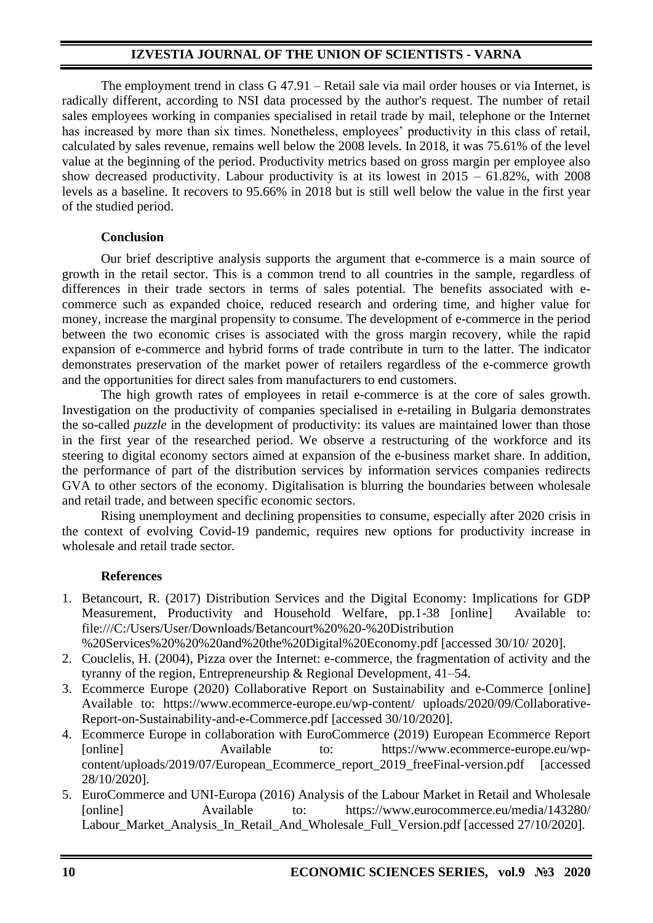The employment trend in class G 47.91 – Retail sale via mail order houses or via Internet, is radically different, according to NSI data processed by the author's request. The number of retail sales employees working in companies specialised in retail trade by mail, telephone or the Internet has increased by more than six times. Nonetheless, employees' productivity in this class of retail, calculated by sales revenue, remains well below the 2008 levels. In 2018, it was 75.61% of the level value at the beginning of the period. Productivity metrics based on gross margin per employee also show decreased productivity. Labour productivity is at its lowest in  $2015 - 61.82\%$ , with  $2008$ levels as a baseline. It recovers to 95.66% in 2018 but is still well below the value in the first year of the studied period.

#### **Conclusion**

Our brief descriptive analysis supports the argument that e-commerce is a main source of growth in the retail sector. This is a common trend to all countries in the sample, regardless of differences in their trade sectors in terms of sales potential. The benefits associated with ecommerce such as expanded choice, reduced research and ordering time, and higher value for money, increase the marginal propensity to consume. The development of e-commerce in the period between the two economic crises is associated with the gross margin recovery, while the rapid expansion of e-commerce and hybrid forms of trade contribute in turn to the latter. The indicator demonstrates preservation of the market power of retailers regardless of the e-commerce growth and the opportunities for direct sales from manufacturers to end customers.

The high growth rates of employees in retail e-commerce is at the core of sales growth. Investigation on the productivity of companies specialised in e-retailing in Bulgaria demonstrates the so-called *puzzle* in the development of productivity: its values are maintained lower than those in the first year of the researched period. We observe a restructuring of the workforce and its steering to digital economy sectors aimed at expansion of the e-business market share. In addition, the performance of part of the distribution services by information services companies redirects GVA to other sectors of the economy. Digitalisation is blurring the boundaries between wholesale and retail trade, and between specific economic sectors.

Rising unemployment and declining propensities to consume, especially after 2020 crisis in the context of evolving Covid-19 pandemic, requires new options for productivity increase in wholesale and retail trade sector.

### **References**

1. Betancourt, R. (2017) Distribution Services and the Digital Economy: Implications for GDP Measurement, Productivity and Household Welfare, pp.1-38 [online] Available to: [file:///C:/Users/User/Downloads/Betancourt%20%20-%20Distribution](file:///C:/Users/User/Downloads/Betancourt%20%20-%20Distribution%20%20Services%20%20%20and%20the%20Digital%20Economy.pdf) 

[%20Services%20%20%20and%20the%20Digital%20Economy.pdf](file:///C:/Users/User/Downloads/Betancourt%20%20-%20Distribution%20%20Services%20%20%20and%20the%20Digital%20Economy.pdf) [accessed 30/10/ 2020].

- 2. Couclelis, H. (2004), Pizza over the Internet: e-commerce, the fragmentation of activity and the tyranny of the region, Entrepreneurship & Regional Development, 41–54.
- 3. Ecommerce Europe (2020) Collaborative Report on Sustainability and e-Commerce [online] Available to: [https://www.ecommerce-europe.eu/wp-content/ uploads/2020/09/Collaborative-](https://www.ecommerce-europe.eu/wp-content/%20uploads/2020/09/Collaborative-Report-on-Sustainability-and-e-Commerce.pdf)[Report-on-Sustainability-and-e-Commerce.pdf](https://www.ecommerce-europe.eu/wp-content/%20uploads/2020/09/Collaborative-Report-on-Sustainability-and-e-Commerce.pdf) [accessed 30/10/2020].
- 4. Ecommerce Europe in collaboration with EuroCommerce (2019) European Ecommerce Report [online] Available to: [https://www.ecommerce-europe.eu/wp](https://www.ecommerce-europe.eu/wp-content/uploads/2019/07/European_Ecommerce_report_2019_freeFinal-version.pdf)[content/uploads/2019/07/European\\_Ecommerce\\_report\\_2019\\_freeFinal-version.pdf](https://www.ecommerce-europe.eu/wp-content/uploads/2019/07/European_Ecommerce_report_2019_freeFinal-version.pdf) [accessed 28/10/2020].
- 5. EuroCommerce and UNI-Europa (2016) Analysis of the Labour Market in Retail and Wholesale [online] Available to: [https://www.eurocommerce.eu/media/143280/](https://www.eurocommerce.eu/media/143280/%20Labour_Market_Analysis_In_Retail_And_Wholesale_Full_Version.pdf)  [Labour\\_Market\\_Analysis\\_In\\_Retail\\_And\\_Wholesale\\_Full\\_Version.pdf](https://www.eurocommerce.eu/media/143280/%20Labour_Market_Analysis_In_Retail_And_Wholesale_Full_Version.pdf) [accessed 27/10/2020].